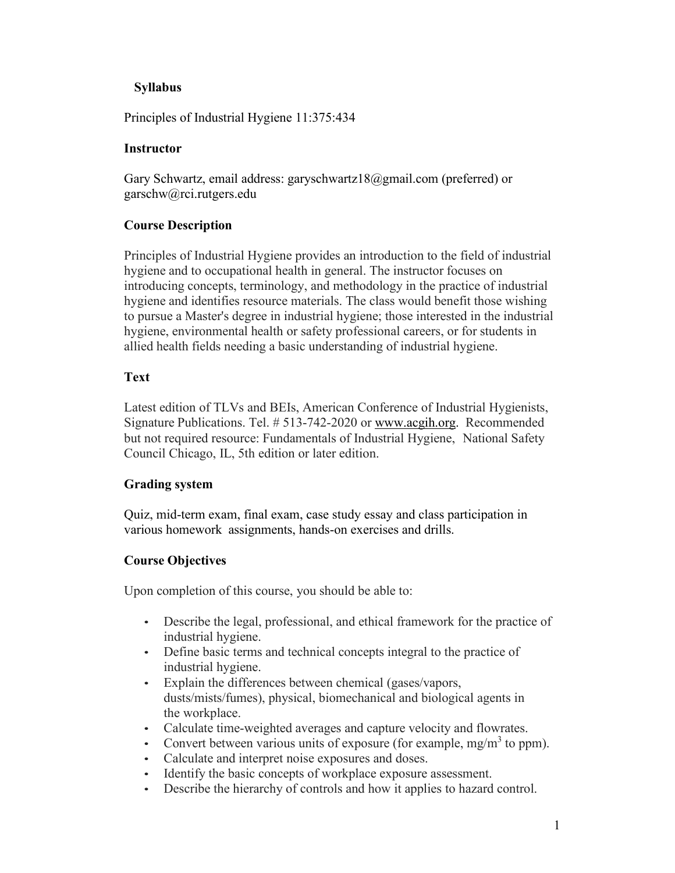# **Syllabus**

Principles of Industrial Hygiene 11:375:434

# **Instructor**

Gary Schwartz, email addr[ess: garyschwartz18@gmail.com](mailto:garyschwartz18@gmail.com) (preferred) or garschw@rci.rutgers.edu

# **Course Description**

Principles of Industrial Hygiene provides an introduction to the field of industrial hygiene and to occupational health in general. The instructor focuses on introducing concepts, terminology, and methodology in the practice of industrial hygiene and identifies resource materials. The class would benefit those wishing to pursue a Master's degree in industrial hygiene; those interested in the industrial hygiene, environmental health or safety professional careers, or for students in allied health fields needing a basic understanding of industrial hygiene.

## **Text**

Latest edition of TLVs and BEIs, American Conference of Industrial Hygienists, Signature Publications. Tel. # 513-742-2020 or [www.acgih.org.](http://www.acgih.org/) Recommended but not required resource: Fundamentals of Industrial Hygiene, National Safety Council Chicago, IL, 5th edition or later edition.

# **Grading system**

Quiz, mid-term exam, final exam, case study essay and class participation in various homework assignments, hands-on exercises and drills.

# **Course Objectives**

Upon completion of this course, you should be able to:

- Describe the legal, professional, and ethical framework for the practice of industrial hygiene.
- Define basic terms and technical concepts integral to the practice of industrial hygiene.
- Explain the differences between chemical (gases/vapors, dusts/mists/fumes), physical, biomechanical and biological agents in the workplace.
- Calculate time-weighted averages and capture velocity and flowrates.
- Convert between various units of exposure (for example, mg/m<sup>3</sup> to ppm).
- Calculate and interpret noise exposures and doses.
- Identify the basic concepts of workplace exposure assessment.
- Describe the hierarchy of controls and how it applies to hazard control.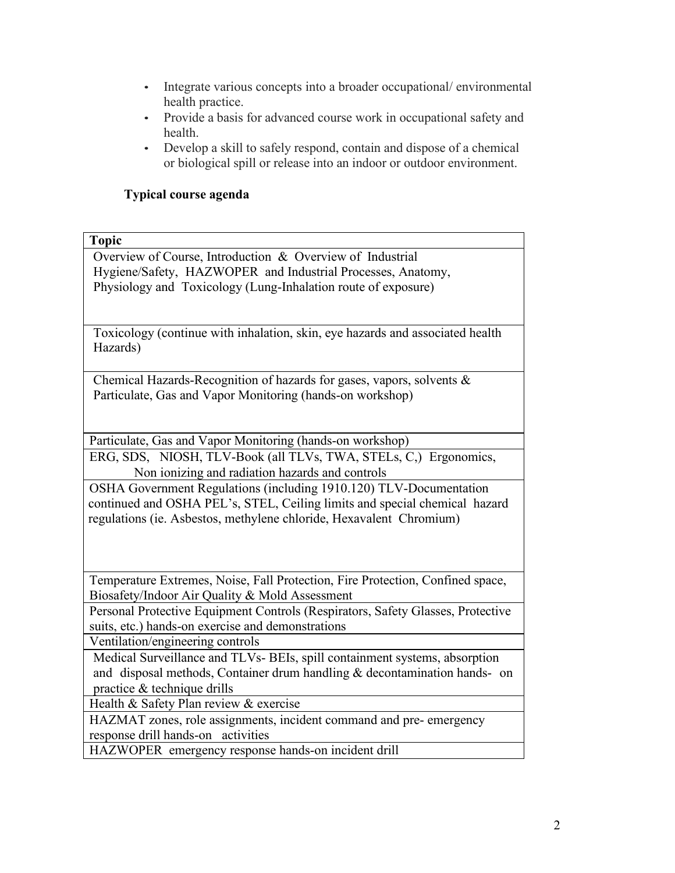- Integrate various concepts into a broader occupational/environmental health practice.
- Provide a basis for advanced course work in occupational safety and health.
- Develop a skill to safely respond, contain and dispose of a chemical or biological spill or release into an indoor or outdoor environment.

# **Typical course agenda**

#### **Topic**

Overview of Course, Introduction & Overview of Industrial Hygiene/Safety, HAZWOPER and Industrial Processes, Anatomy, Physiology and Toxicology (Lung-Inhalation route of exposure)

Toxicology (continue with inhalation, skin, eye hazards and associated health Hazards)

Chemical Hazards-Recognition of hazards for gases, vapors, solvents & Particulate, Gas and Vapor Monitoring (hands-on workshop)

Particulate, Gas and Vapor Monitoring (hands-on workshop)

ERG, SDS, NIOSH, TLV-Book (all TLVs, TWA, STELs, C,) Ergonomics, Non ionizing and radiation hazards and controls

OSHA Government Regulations (including 1910.120) TLV-Documentation continued and OSHA PEL's, STEL, Ceiling limits and special chemical hazard regulations (ie. Asbestos, methylene chloride, Hexavalent Chromium)

Temperature Extremes, Noise, Fall Protection, Fire Protection, Confined space, Biosafety/Indoor Air Quality & Mold Assessment

Personal Protective Equipment Controls (Respirators, Safety Glasses, Protective suits, etc.) hands-on exercise and demonstrations

Ventilation/engineering controls

Medical Surveillance and TLVs- BEIs, spill containment systems, absorption and disposal methods, Container drum handling & decontamination hands- on practice & technique drills

Health & Safety Plan review & exercise

HAZMAT zones, role assignments, incident command and pre- emergency response drill hands-on activities

HAZWOPER emergency response hands-on incident drill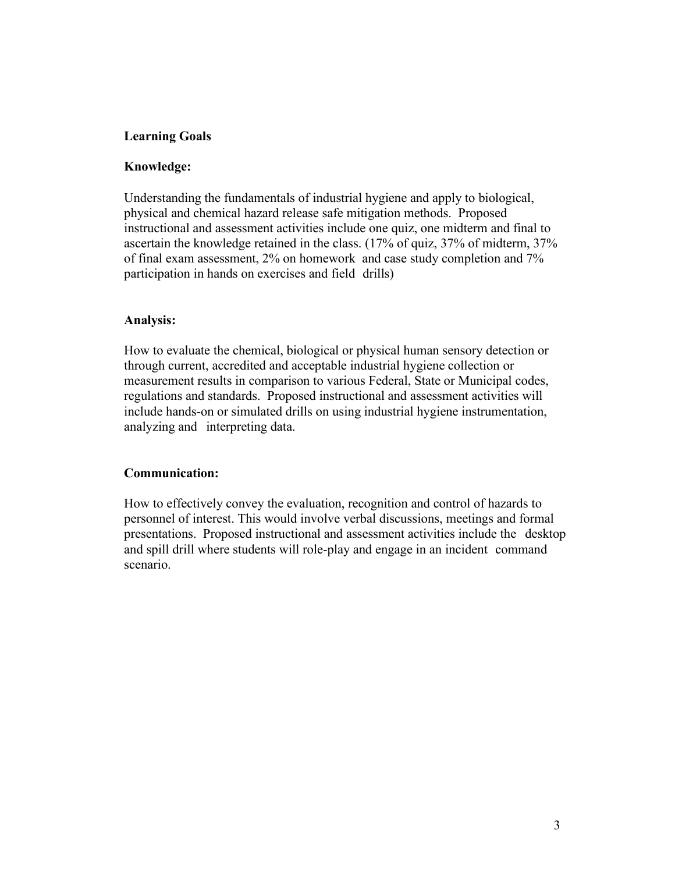### **Learning Goals**

### **Knowledge:**

Understanding the fundamentals of industrial hygiene and apply to biological, physical and chemical hazard release safe mitigation methods. Proposed instructional and assessment activities include one quiz, one midterm and final to ascertain the knowledge retained in the class. (17% of quiz, 37% of midterm, 37% of final exam assessment, 2% on homework and case study completion and 7% participation in hands on exercises and field drills)

#### **Analysis:**

How to evaluate the chemical, biological or physical human sensory detection or through current, accredited and acceptable industrial hygiene collection or measurement results in comparison to various Federal, State or Municipal codes, regulations and standards. Proposed instructional and assessment activities will include hands-on or simulated drills on using industrial hygiene instrumentation, analyzing and interpreting data.

### **Communication:**

How to effectively convey the evaluation, recognition and control of hazards to personnel of interest. This would involve verbal discussions, meetings and formal presentations. Proposed instructional and assessment activities include the desktop and spill drill where students will role-play and engage in an incident command scenario.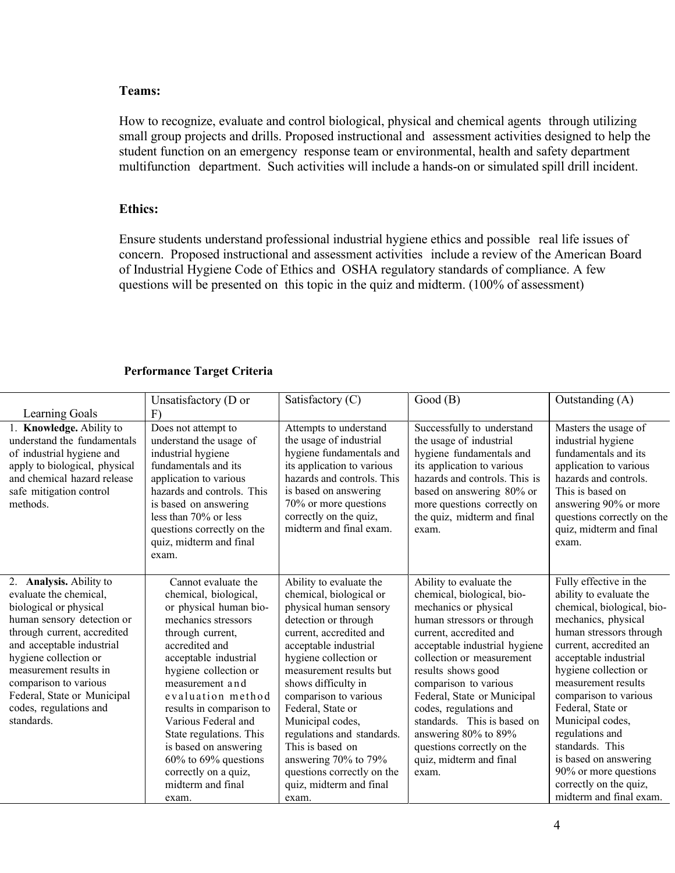### **Teams:**

How to recognize, evaluate and control biological, physical and chemical agents through utilizing small group projects and drills. Proposed instructional and assessment activities designed to help the student function on an emergency response team or environmental, health and safety department multifunction department. Such activities will include a hands-on or simulated spill drill incident.

# **Ethics:**

Ensure students understand professional industrial hygiene ethics and possible real life issues of concern. Proposed instructional and assessment activities include a review of the American Board of Industrial Hygiene Code of Ethics and OSHA regulatory standards of compliance. A few questions will be presented on this topic in the quiz and midterm. (100% of assessment)

#### **Performance Target Criteria**

|                                                                                                                                                                                                                                                                                                                          | Unsatisfactory (D or                                                                                                                                                                                                                                                                                                                                                                                                     | Satisfactory (C)                                                                                                                                                                                                                                                                                                                                                                                                                                  | Good(B)                                                                                                                                                                                                                                                                                                                                                                                                                                | Outstanding (A)                                                                                                                                                                                                                                                                                                                                                                                                                                     |
|--------------------------------------------------------------------------------------------------------------------------------------------------------------------------------------------------------------------------------------------------------------------------------------------------------------------------|--------------------------------------------------------------------------------------------------------------------------------------------------------------------------------------------------------------------------------------------------------------------------------------------------------------------------------------------------------------------------------------------------------------------------|---------------------------------------------------------------------------------------------------------------------------------------------------------------------------------------------------------------------------------------------------------------------------------------------------------------------------------------------------------------------------------------------------------------------------------------------------|----------------------------------------------------------------------------------------------------------------------------------------------------------------------------------------------------------------------------------------------------------------------------------------------------------------------------------------------------------------------------------------------------------------------------------------|-----------------------------------------------------------------------------------------------------------------------------------------------------------------------------------------------------------------------------------------------------------------------------------------------------------------------------------------------------------------------------------------------------------------------------------------------------|
| Learning Goals                                                                                                                                                                                                                                                                                                           | F)                                                                                                                                                                                                                                                                                                                                                                                                                       |                                                                                                                                                                                                                                                                                                                                                                                                                                                   |                                                                                                                                                                                                                                                                                                                                                                                                                                        |                                                                                                                                                                                                                                                                                                                                                                                                                                                     |
| 1. Knowledge. Ability to<br>understand the fundamentals<br>of industrial hygiene and<br>apply to biological, physical<br>and chemical hazard release<br>safe mitigation control<br>methods.                                                                                                                              | Does not attempt to<br>understand the usage of<br>industrial hygiene<br>fundamentals and its<br>application to various<br>hazards and controls. This<br>is based on answering<br>less than $70\%$ or less<br>questions correctly on the<br>quiz, midterm and final<br>exam.                                                                                                                                              | Attempts to understand<br>the usage of industrial<br>hygiene fundamentals and<br>its application to various<br>hazards and controls. This<br>is based on answering<br>70% or more questions<br>correctly on the quiz,<br>midterm and final exam.                                                                                                                                                                                                  | Successfully to understand<br>the usage of industrial<br>hygiene fundamentals and<br>its application to various<br>hazards and controls. This is<br>based on answering 80% or<br>more questions correctly on<br>the quiz, midterm and final<br>exam.                                                                                                                                                                                   | Masters the usage of<br>industrial hygiene<br>fundamentals and its<br>application to various<br>hazards and controls.<br>This is based on<br>answering 90% or more<br>questions correctly on the<br>quiz, midterm and final<br>exam.                                                                                                                                                                                                                |
| 2. Analysis. Ability to<br>evaluate the chemical,<br>biological or physical<br>human sensory detection or<br>through current, accredited<br>and acceptable industrial<br>hygiene collection or<br>measurement results in<br>comparison to various<br>Federal, State or Municipal<br>codes, regulations and<br>standards. | Cannot evaluate the<br>chemical, biological,<br>or physical human bio-<br>mechanics stressors<br>through current,<br>accredited and<br>acceptable industrial<br>hygiene collection or<br>measurement and<br>evaluation method<br>results in comparison to<br>Various Federal and<br>State regulations. This<br>is based on answering<br>$60\%$ to $69\%$ questions<br>correctly on a quiz,<br>midterm and final<br>exam. | Ability to evaluate the<br>chemical, biological or<br>physical human sensory<br>detection or through<br>current, accredited and<br>acceptable industrial<br>hygiene collection or<br>measurement results but<br>shows difficulty in<br>comparison to various<br>Federal, State or<br>Municipal codes,<br>regulations and standards.<br>This is based on<br>answering 70% to 79%<br>questions correctly on the<br>quiz, midterm and final<br>exam. | Ability to evaluate the<br>chemical, biological, bio-<br>mechanics or physical<br>human stressors or through<br>current, accredited and<br>acceptable industrial hygiene<br>collection or measurement<br>results shows good<br>comparison to various<br>Federal, State or Municipal<br>codes, regulations and<br>standards. This is based on<br>answering 80% to 89%<br>questions correctly on the<br>quiz, midterm and final<br>exam. | Fully effective in the<br>ability to evaluate the<br>chemical, biological, bio-<br>mechanics, physical<br>human stressors through<br>current, accredited an<br>acceptable industrial<br>hygiene collection or<br>measurement results<br>comparison to various<br>Federal, State or<br>Municipal codes,<br>regulations and<br>standards. This<br>is based on answering<br>90% or more questions<br>correctly on the quiz,<br>midterm and final exam. |